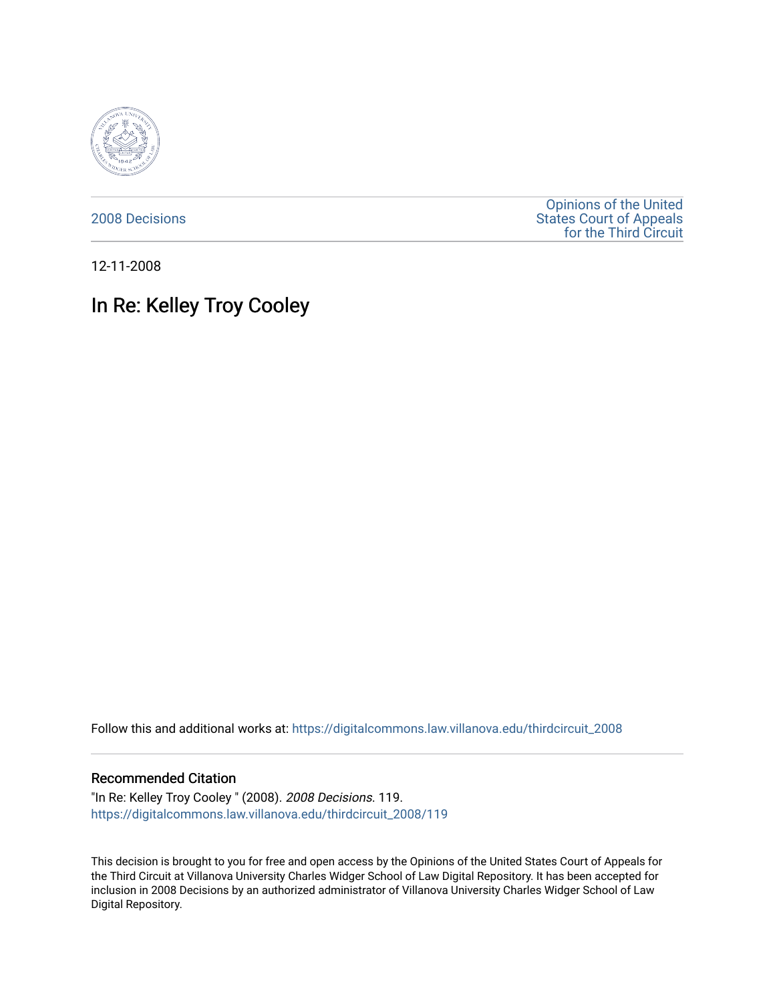

[2008 Decisions](https://digitalcommons.law.villanova.edu/thirdcircuit_2008)

[Opinions of the United](https://digitalcommons.law.villanova.edu/thirdcircuit)  [States Court of Appeals](https://digitalcommons.law.villanova.edu/thirdcircuit)  [for the Third Circuit](https://digitalcommons.law.villanova.edu/thirdcircuit) 

12-11-2008

## In Re: Kelley Troy Cooley

Follow this and additional works at: [https://digitalcommons.law.villanova.edu/thirdcircuit\\_2008](https://digitalcommons.law.villanova.edu/thirdcircuit_2008?utm_source=digitalcommons.law.villanova.edu%2Fthirdcircuit_2008%2F119&utm_medium=PDF&utm_campaign=PDFCoverPages) 

## Recommended Citation

"In Re: Kelley Troy Cooley " (2008). 2008 Decisions. 119. [https://digitalcommons.law.villanova.edu/thirdcircuit\\_2008/119](https://digitalcommons.law.villanova.edu/thirdcircuit_2008/119?utm_source=digitalcommons.law.villanova.edu%2Fthirdcircuit_2008%2F119&utm_medium=PDF&utm_campaign=PDFCoverPages)

This decision is brought to you for free and open access by the Opinions of the United States Court of Appeals for the Third Circuit at Villanova University Charles Widger School of Law Digital Repository. It has been accepted for inclusion in 2008 Decisions by an authorized administrator of Villanova University Charles Widger School of Law Digital Repository.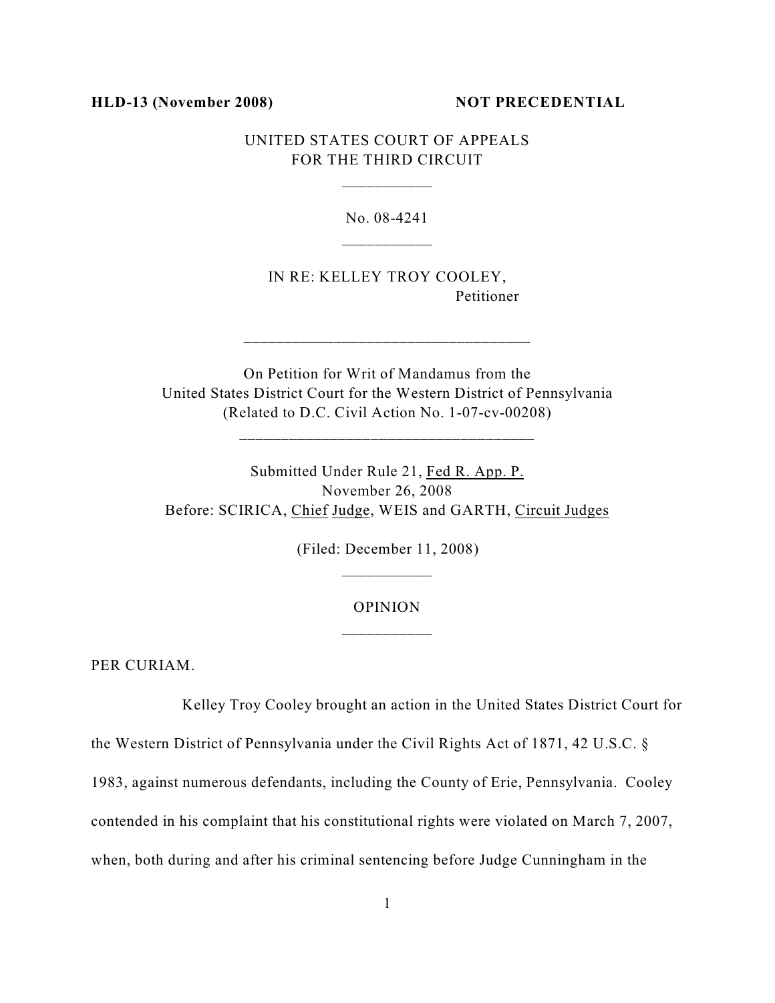## **HLD-13 (November 2008) NOT PRECEDENTIAL**

UNITED STATES COURT OF APPEALS FOR THE THIRD CIRCUIT

\_\_\_\_\_\_\_\_\_\_\_

No. 08-4241

IN RE: KELLEY TROY COOLEY, Petitioner

On Petition for Writ of Mandamus from the United States District Court for the Western District of Pennsylvania (Related to D.C. Civil Action No. 1-07-cv-00208)

\_\_\_\_\_\_\_\_\_\_\_\_\_\_\_\_\_\_\_\_\_\_\_\_\_\_\_\_\_\_\_\_\_\_\_\_

\_\_\_\_\_\_\_\_\_\_\_\_\_\_\_\_\_\_\_\_\_\_\_\_\_\_\_\_\_\_\_\_\_\_\_

Submitted Under Rule 21, Fed R. App. P. November 26, 2008 Before: SCIRICA, Chief Judge, WEIS and GARTH, Circuit Judges

(Filed: December 11, 2008)

## OPINION \_\_\_\_\_\_\_\_\_\_\_

PER CURIAM.

Kelley Troy Cooley brought an action in the United States District Court for

the Western District of Pennsylvania under the Civil Rights Act of 1871, 42 U.S.C. §

1983, against numerous defendants, including the County of Erie, Pennsylvania. Cooley

contended in his complaint that his constitutional rights were violated on March 7, 2007,

when, both during and after his criminal sentencing before Judge Cunningham in the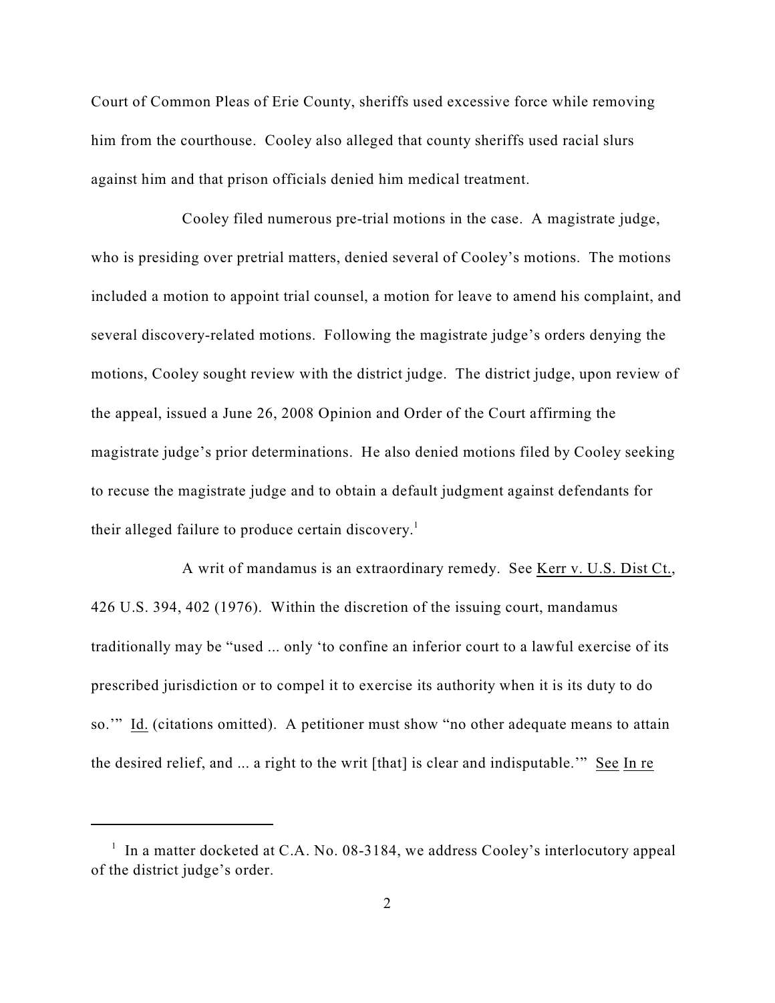Court of Common Pleas of Erie County, sheriffs used excessive force while removing him from the courthouse. Cooley also alleged that county sheriffs used racial slurs against him and that prison officials denied him medical treatment.

Cooley filed numerous pre-trial motions in the case. A magistrate judge, who is presiding over pretrial matters, denied several of Cooley's motions. The motions included a motion to appoint trial counsel, a motion for leave to amend his complaint, and several discovery-related motions. Following the magistrate judge's orders denying the motions, Cooley sought review with the district judge. The district judge, upon review of the appeal, issued a June 26, 2008 Opinion and Order of the Court affirming the magistrate judge's prior determinations. He also denied motions filed by Cooley seeking to recuse the magistrate judge and to obtain a default judgment against defendants for their alleged failure to produce certain discovery.<sup>1</sup>

A writ of mandamus is an extraordinary remedy. See Kerr v. U.S. Dist Ct., 426 U.S. 394, 402 (1976). Within the discretion of the issuing court, mandamus traditionally may be "used ... only 'to confine an inferior court to a lawful exercise of its prescribed jurisdiction or to compel it to exercise its authority when it is its duty to do so.'" Id. (citations omitted). A petitioner must show "no other adequate means to attain the desired relief, and ... a right to the writ [that] is clear and indisputable.'" See In re

 $\frac{1}{1}$  In a matter docketed at C.A. No. 08-3184, we address Cooley's interlocutory appeal of the district judge's order.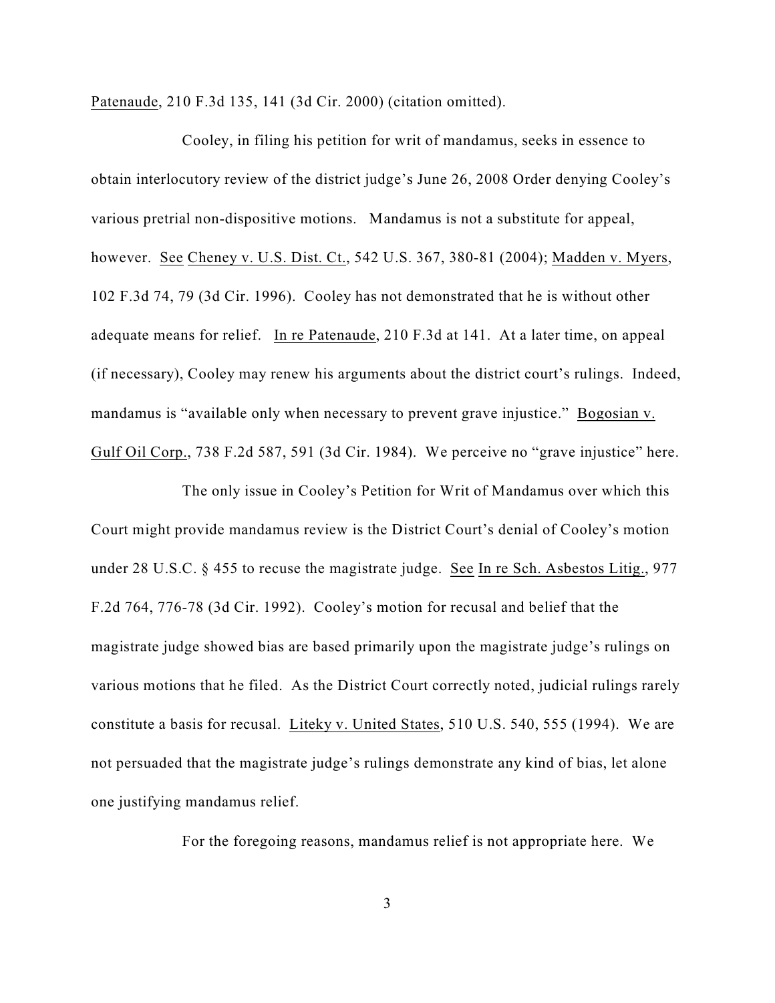Patenaude, 210 F.3d 135, 141 (3d Cir. 2000) (citation omitted).

Cooley, in filing his petition for writ of mandamus, seeks in essence to obtain interlocutory review of the district judge's June 26, 2008 Order denying Cooley's various pretrial non-dispositive motions. Mandamus is not a substitute for appeal, however. See Cheney v. U.S. Dist. Ct., 542 U.S. 367, 380-81 (2004); Madden v. Myers, 102 F.3d 74, 79 (3d Cir. 1996). Cooley has not demonstrated that he is without other adequate means for relief. In re Patenaude, 210 F.3d at 141. At a later time, on appeal (if necessary), Cooley may renew his arguments about the district court's rulings. Indeed, mandamus is "available only when necessary to prevent grave injustice." Bogosian v. Gulf Oil Corp., 738 F.2d 587, 591 (3d Cir. 1984). We perceive no "grave injustice" here.

The only issue in Cooley's Petition for Writ of Mandamus over which this Court might provide mandamus review is the District Court's denial of Cooley's motion under 28 U.S.C. § 455 to recuse the magistrate judge. See In re Sch. Asbestos Litig., 977 F.2d 764, 776-78 (3d Cir. 1992). Cooley's motion for recusal and belief that the magistrate judge showed bias are based primarily upon the magistrate judge's rulings on various motions that he filed. As the District Court correctly noted, judicial rulings rarely constitute a basis for recusal. Liteky v. United States, 510 U.S. 540, 555 (1994). We are not persuaded that the magistrate judge's rulings demonstrate any kind of bias, let alone one justifying mandamus relief.

For the foregoing reasons, mandamus relief is not appropriate here. We

3